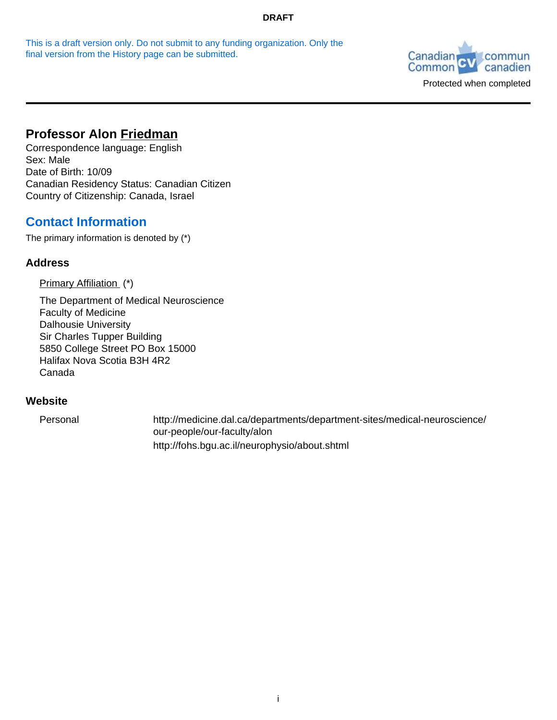This is a draft version only. Do not submit to any funding organization. Only the final version from the History page can be submitted.



# **Professor Alon Friedman**

Correspondence language: English Sex: Male Date of Birth: 10/09 Canadian Residency Status: Canadian Citizen Country of Citizenship: Canada, Israel

# **Contact Information**

The primary information is denoted by (\*)

## **Address**

Primary Affiliation (\*)

The Department of Medical Neuroscience Faculty of Medicine Dalhousie University Sir Charles Tupper Building 5850 College Street PO Box 15000 Halifax Nova Scotia B3H 4R2 Canada

## **Website**

Personal http://medicine.dal.ca/departments/department-sites/medical-neuroscience/ our-people/our-faculty/alon http://fohs.bgu.ac.il/neurophysio/about.shtml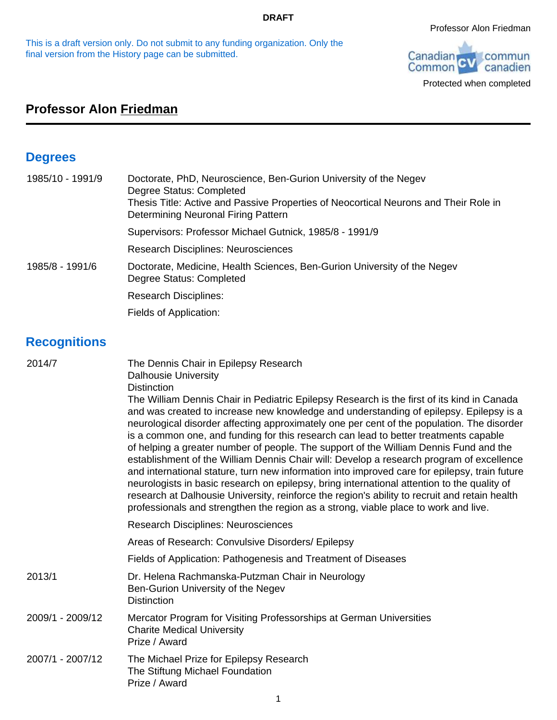This is a draft version only. Do not submit to any funding organization. Only the final version from the History page can be submitted.



Protected when completed

# **Professor Alon Friedman**

# **Degrees**

| 1985/10 - 1991/9 | Doctorate, PhD, Neuroscience, Ben-Gurion University of the Negev<br>Degree Status: Completed<br>Thesis Title: Active and Passive Properties of Neocortical Neurons and Their Role in<br>Determining Neuronal Firing Pattern |
|------------------|-----------------------------------------------------------------------------------------------------------------------------------------------------------------------------------------------------------------------------|
|                  | Supervisors: Professor Michael Gutnick, 1985/8 - 1991/9                                                                                                                                                                     |
|                  | <b>Research Disciplines: Neurosciences</b>                                                                                                                                                                                  |
| 1985/8 - 1991/6  | Doctorate, Medicine, Health Sciences, Ben-Gurion University of the Negev<br>Degree Status: Completed                                                                                                                        |
|                  | <b>Research Disciplines:</b>                                                                                                                                                                                                |
|                  | Fields of Application:                                                                                                                                                                                                      |

# **Recognitions**

| 2014/7           | The Dennis Chair in Epilepsy Research<br><b>Dalhousie University</b><br><b>Distinction</b>                                                                                                                                                                                                                                                                                                                                                                                                                                                                                                                                                                                                                                                                                                                                                                                                                                                              |
|------------------|---------------------------------------------------------------------------------------------------------------------------------------------------------------------------------------------------------------------------------------------------------------------------------------------------------------------------------------------------------------------------------------------------------------------------------------------------------------------------------------------------------------------------------------------------------------------------------------------------------------------------------------------------------------------------------------------------------------------------------------------------------------------------------------------------------------------------------------------------------------------------------------------------------------------------------------------------------|
|                  | The William Dennis Chair in Pediatric Epilepsy Research is the first of its kind in Canada<br>and was created to increase new knowledge and understanding of epilepsy. Epilepsy is a<br>neurological disorder affecting approximately one per cent of the population. The disorder<br>is a common one, and funding for this research can lead to better treatments capable<br>of helping a greater number of people. The support of the William Dennis Fund and the<br>establishment of the William Dennis Chair will: Develop a research program of excellence<br>and international stature, turn new information into improved care for epilepsy, train future<br>neurologists in basic research on epilepsy, bring international attention to the quality of<br>research at Dalhousie University, reinforce the region's ability to recruit and retain health<br>professionals and strengthen the region as a strong, viable place to work and live. |
|                  | <b>Research Disciplines: Neurosciences</b>                                                                                                                                                                                                                                                                                                                                                                                                                                                                                                                                                                                                                                                                                                                                                                                                                                                                                                              |
|                  | Areas of Research: Convulsive Disorders/ Epilepsy                                                                                                                                                                                                                                                                                                                                                                                                                                                                                                                                                                                                                                                                                                                                                                                                                                                                                                       |
|                  | Fields of Application: Pathogenesis and Treatment of Diseases                                                                                                                                                                                                                                                                                                                                                                                                                                                                                                                                                                                                                                                                                                                                                                                                                                                                                           |
| 2013/1           | Dr. Helena Rachmanska-Putzman Chair in Neurology<br>Ben-Gurion University of the Negev<br><b>Distinction</b>                                                                                                                                                                                                                                                                                                                                                                                                                                                                                                                                                                                                                                                                                                                                                                                                                                            |
| 2009/1 - 2009/12 | Mercator Program for Visiting Professorships at German Universities<br><b>Charite Medical University</b><br>Prize / Award                                                                                                                                                                                                                                                                                                                                                                                                                                                                                                                                                                                                                                                                                                                                                                                                                               |
| 2007/1 - 2007/12 | The Michael Prize for Epilepsy Research<br>The Stiftung Michael Foundation<br>Prize / Award                                                                                                                                                                                                                                                                                                                                                                                                                                                                                                                                                                                                                                                                                                                                                                                                                                                             |
|                  |                                                                                                                                                                                                                                                                                                                                                                                                                                                                                                                                                                                                                                                                                                                                                                                                                                                                                                                                                         |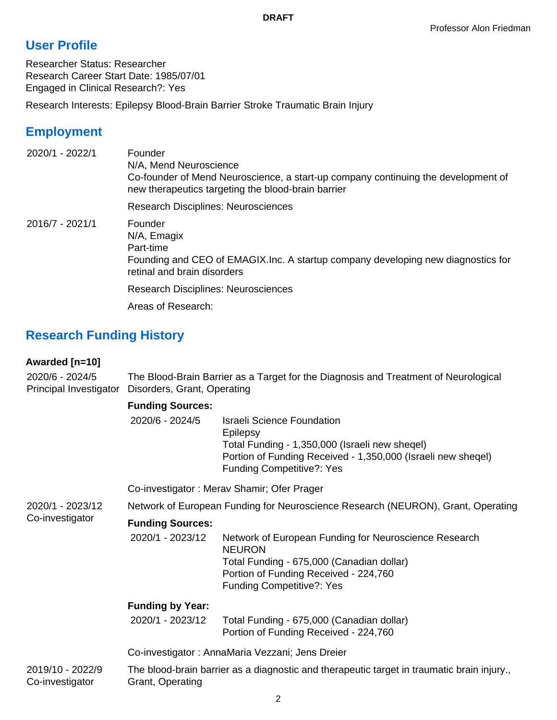# **User Profile**

Researcher Status: Researcher Research Career Start Date: 1985/07/01 Engaged in Clinical Research?: Yes

Research Interests: Epilepsy Blood-Brain Barrier Stroke Traumatic Brain Injury

# **Employment**

| 2020/1 - 2022/1 | Founder<br>N/A, Mend Neuroscience<br>Co-founder of Mend Neuroscience, a start-up company continuing the development of<br>new therapeutics targeting the blood-brain barrier |
|-----------------|------------------------------------------------------------------------------------------------------------------------------------------------------------------------------|
|                 | <b>Research Disciplines: Neurosciences</b>                                                                                                                                   |
| 2016/7 - 2021/1 | Founder<br>N/A, Emagix<br>Part-time<br>Founding and CEO of EMAGIX. Inc. A startup company developing new diagnostics for<br>retinal and brain disorders                      |
|                 | <b>Research Disciplines: Neurosciences</b>                                                                                                                                   |
|                 | Areas of Research:                                                                                                                                                           |

# **Research Funding History**

## **Awarded [n=10]**

2020/6 - 2024/5 Principal Investigator Disorders, Grant, Operating The Blood-Brain Barrier as a Target for the Diagnosis and Treatment of Neurological

## **Funding Sources:**

| 2020/6 - 2024/5 | <b>Israeli Science Foundation</b>                            |
|-----------------|--------------------------------------------------------------|
|                 | Epilepsy                                                     |
|                 | Total Funding - 1,350,000 (Israeli new sheqel)               |
|                 | Portion of Funding Received - 1,350,000 (Israeli new sheqel) |
|                 | <b>Funding Competitive?: Yes</b>                             |

Co-investigator : Merav Shamir; Ofer Prager

2020/1 - 2023/12 Network of European Funding for Neuroscience Research (NEURON), Grant, Operating

#### Co-investigator **Funding Sources:**

2020/1 - 2023/12 Network of European Funding for Neuroscience Research NEURON Total Funding - 675,000 (Canadian dollar) Portion of Funding Received - 224,760 Funding Competitive?: Yes

## **Funding by Year:**

| 2020/1 - 2023/12 | Total Funding - 675,000 (Canadian dollar) |
|------------------|-------------------------------------------|
|                  | Portion of Funding Received - 224,760     |

Co-investigator : AnnaMaria Vezzani; Jens Dreier

2019/10 - 2022/9 Co-investigator The blood-brain barrier as a diagnostic and therapeutic target in traumatic brain injury., Grant, Operating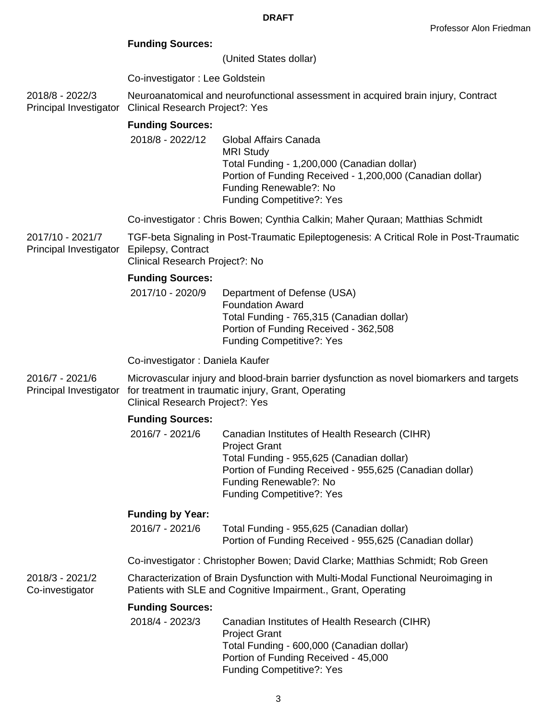## **Funding Sources:**

(United States dollar)

Co-investigator : Lee Goldstein

2018/8 - 2022/3 Principal Investigator Neuroanatomical and neurofunctional assessment in acquired brain injury, Contract Clinical Research Project?: Yes

## **Funding Sources:**

2018/8 - 2022/12 Global Affairs Canada MRI Study Total Funding - 1,200,000 (Canadian dollar) Portion of Funding Received - 1,200,000 (Canadian dollar) Funding Renewable?: No Funding Competitive?: Yes

Co-investigator : Chris Bowen; Cynthia Calkin; Maher Quraan; Matthias Schmidt

2017/10 - 2021/7 Principal Investigator TGF-beta Signaling in Post-Traumatic Epileptogenesis: A Critical Role in Post-Traumatic Epilepsy, Contract Clinical Research Project?: No

#### **Funding Sources:**

2017/10 - 2020/9 Department of Defense (USA) Foundation Award Total Funding - 765,315 (Canadian dollar) Portion of Funding Received - 362,508 Funding Competitive?: Yes

#### Co-investigator : Daniela Kaufer

2016/7 - 2021/6 Principal Investigator Microvascular injury and blood-brain barrier dysfunction as novel biomarkers and targets for treatment in traumatic injury, Grant, Operating Clinical Research Project?: Yes

#### **Funding Sources:**

| 2016/7 - 2021/6 | Canadian Institutes of Health Research (CIHR)           |
|-----------------|---------------------------------------------------------|
|                 | <b>Project Grant</b>                                    |
|                 | Total Funding - 955,625 (Canadian dollar)               |
|                 | Portion of Funding Received - 955,625 (Canadian dollar) |
|                 | Funding Renewable?: No                                  |
|                 | <b>Funding Competitive?: Yes</b>                        |

## **Funding by Year:**

2016/7 - 2021/6 Total Funding - 955,625 (Canadian dollar) Portion of Funding Received - 955,625 (Canadian dollar)

Co-investigator : Christopher Bowen; David Clarke; Matthias Schmidt; Rob Green

2018/3 - 2021/2 Co-investigator Characterization of Brain Dysfunction with Multi-Modal Functional Neuroimaging in Patients with SLE and Cognitive Impairment., Grant, Operating

## **Funding Sources:**

| 2018/4 - 2023/3 | Canadian Institutes of Health Research (CIHR) |
|-----------------|-----------------------------------------------|
|                 | <b>Project Grant</b>                          |
|                 | Total Funding - 600,000 (Canadian dollar)     |
|                 | Portion of Funding Received - 45,000          |
|                 | <b>Funding Competitive?: Yes</b>              |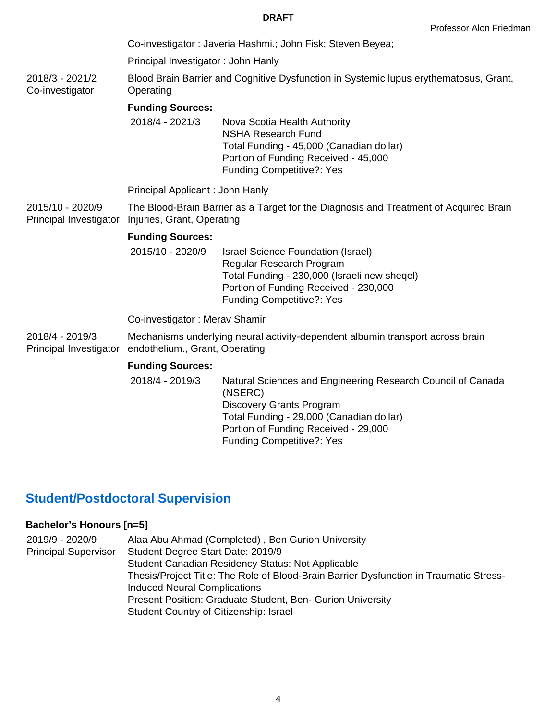Co-investigator : Javeria Hashmi.; John Fisk; Steven Beyea;

Principal Investigator : John Hanly

2018/3 - 2021/2 Co-investigator Blood Brain Barrier and Cognitive Dysfunction in Systemic lupus erythematosus, Grant, **Operating** 

## **Funding Sources:**

2018/4 - 2021/3 Nova Scotia Health Authority NSHA Research Fund Total Funding - 45,000 (Canadian dollar) Portion of Funding Received - 45,000 Funding Competitive?: Yes

Principal Applicant : John Hanly

2015/10 - 2020/9 Principal Investigator Injuries, Grant, Operating The Blood-Brain Barrier as a Target for the Diagnosis and Treatment of Acquired Brain

## **Funding Sources:**

2015/10 - 2020/9 Israel Science Foundation (Israel) Regular Research Program Total Funding - 230,000 (Israeli new sheqel) Portion of Funding Received - 230,000 Funding Competitive?: Yes

Co-investigator : Merav Shamir

2018/4 - 2019/3 Principal Investigator endothelium., Grant, Operating Mechanisms underlying neural activity-dependent albumin transport across brain

## **Funding Sources:**

2018/4 - 2019/3 Natural Sciences and Engineering Research Council of Canada (NSERC) Discovery Grants Program Total Funding - 29,000 (Canadian dollar) Portion of Funding Received - 29,000 Funding Competitive?: Yes

# **Student/Postdoctoral Supervision**

## **Bachelor's Honours [n=5]**

| 2019/9 - 2020/9             | Alaa Abu Ahmad (Completed), Ben Gurion University                                      |
|-----------------------------|----------------------------------------------------------------------------------------|
| <b>Principal Supervisor</b> | Student Degree Start Date: 2019/9                                                      |
|                             | <b>Student Canadian Residency Status: Not Applicable</b>                               |
|                             | Thesis/Project Title: The Role of Blood-Brain Barrier Dysfunction in Traumatic Stress- |
|                             | <b>Induced Neural Complications</b>                                                    |
|                             | Present Position: Graduate Student, Ben- Gurion University                             |
|                             | Student Country of Citizenship: Israel                                                 |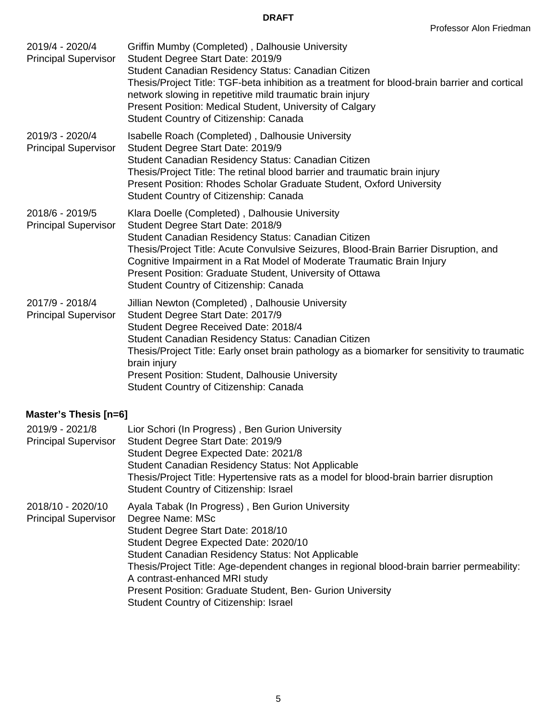| 2019/4 - 2020/4<br><b>Principal Supervisor</b> | Griffin Mumby (Completed), Dalhousie University<br>Student Degree Start Date: 2019/9<br>Student Canadian Residency Status: Canadian Citizen<br>Thesis/Project Title: TGF-beta inhibition as a treatment for blood-brain barrier and cortical<br>network slowing in repetitive mild traumatic brain injury<br>Present Position: Medical Student, University of Calgary<br>Student Country of Citizenship: Canada    |
|------------------------------------------------|--------------------------------------------------------------------------------------------------------------------------------------------------------------------------------------------------------------------------------------------------------------------------------------------------------------------------------------------------------------------------------------------------------------------|
| 2019/3 - 2020/4<br><b>Principal Supervisor</b> | Isabelle Roach (Completed), Dalhousie University<br>Student Degree Start Date: 2019/9<br>Student Canadian Residency Status: Canadian Citizen<br>Thesis/Project Title: The retinal blood barrier and traumatic brain injury<br>Present Position: Rhodes Scholar Graduate Student, Oxford University<br>Student Country of Citizenship: Canada                                                                       |
| 2018/6 - 2019/5<br><b>Principal Supervisor</b> | Klara Doelle (Completed), Dalhousie University<br>Student Degree Start Date: 2018/9<br>Student Canadian Residency Status: Canadian Citizen<br>Thesis/Project Title: Acute Convulsive Seizures, Blood-Brain Barrier Disruption, and<br>Cognitive Impairment in a Rat Model of Moderate Traumatic Brain Injury<br>Present Position: Graduate Student, University of Ottawa<br>Student Country of Citizenship: Canada |
| 2017/9 - 2018/4<br><b>Principal Supervisor</b> | Jillian Newton (Completed), Dalhousie University<br>Student Degree Start Date: 2017/9<br>Student Degree Received Date: 2018/4<br>Student Canadian Residency Status: Canadian Citizen<br>Thesis/Project Title: Early onset brain pathology as a biomarker for sensitivity to traumatic<br>brain injury<br><b>Present Position: Student, Dalhousie University</b><br>Student Country of Citizenship: Canada          |

## **Master's Thesis [n=6]**

| 2019/9 - 2021/8<br><b>Principal Supervisor</b>   | Lior Schori (In Progress), Ben Gurion University<br>Student Degree Start Date: 2019/9<br>Student Degree Expected Date: 2021/8<br><b>Student Canadian Residency Status: Not Applicable</b><br>Thesis/Project Title: Hypertensive rats as a model for blood-brain barrier disruption<br>Student Country of Citizenship: Israel                                                                                                                          |
|--------------------------------------------------|-------------------------------------------------------------------------------------------------------------------------------------------------------------------------------------------------------------------------------------------------------------------------------------------------------------------------------------------------------------------------------------------------------------------------------------------------------|
| 2018/10 - 2020/10<br><b>Principal Supervisor</b> | Ayala Tabak (In Progress), Ben Gurion University<br>Degree Name: MSc<br>Student Degree Start Date: 2018/10<br>Student Degree Expected Date: 2020/10<br><b>Student Canadian Residency Status: Not Applicable</b><br>Thesis/Project Title: Age-dependent changes in regional blood-brain barrier permeability:<br>A contrast-enhanced MRI study<br>Present Position: Graduate Student, Ben- Gurion University<br>Student Country of Citizenship: Israel |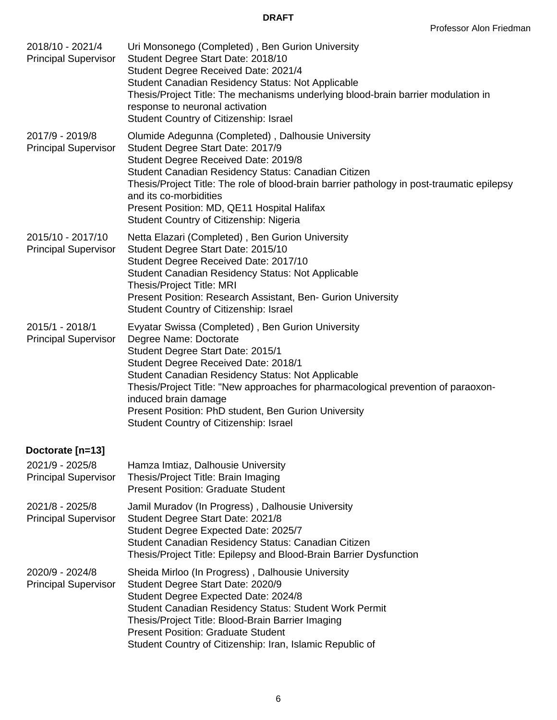| 2018/10 - 2021/4<br><b>Principal Supervisor</b>  | Uri Monsonego (Completed), Ben Gurion University<br>Student Degree Start Date: 2018/10<br>Student Degree Received Date: 2021/4<br>Student Canadian Residency Status: Not Applicable<br>Thesis/Project Title: The mechanisms underlying blood-brain barrier modulation in<br>response to neuronal activation<br>Student Country of Citizenship: Israel                                                                        |
|--------------------------------------------------|------------------------------------------------------------------------------------------------------------------------------------------------------------------------------------------------------------------------------------------------------------------------------------------------------------------------------------------------------------------------------------------------------------------------------|
| 2017/9 - 2019/8<br><b>Principal Supervisor</b>   | Olumide Adegunna (Completed), Dalhousie University<br>Student Degree Start Date: 2017/9<br>Student Degree Received Date: 2019/8<br>Student Canadian Residency Status: Canadian Citizen<br>Thesis/Project Title: The role of blood-brain barrier pathology in post-traumatic epilepsy<br>and its co-morbidities<br>Present Position: MD, QE11 Hospital Halifax<br>Student Country of Citizenship: Nigeria                     |
| 2015/10 - 2017/10<br><b>Principal Supervisor</b> | Netta Elazari (Completed), Ben Gurion University<br>Student Degree Start Date: 2015/10<br>Student Degree Received Date: 2017/10<br>Student Canadian Residency Status: Not Applicable<br>Thesis/Project Title: MRI<br>Present Position: Research Assistant, Ben- Gurion University<br>Student Country of Citizenship: Israel                                                                                                  |
| 2015/1 - 2018/1<br><b>Principal Supervisor</b>   | Evyatar Swissa (Completed), Ben Gurion University<br>Degree Name: Doctorate<br>Student Degree Start Date: 2015/1<br>Student Degree Received Date: 2018/1<br>Student Canadian Residency Status: Not Applicable<br>Thesis/Project Title: "New approaches for pharmacological prevention of paraoxon-<br>induced brain damage<br>Present Position: PhD student, Ben Gurion University<br>Student Country of Citizenship: Israel |
| Doctorate [n=13]                                 |                                                                                                                                                                                                                                                                                                                                                                                                                              |
| 2021/9 - 2025/8<br><b>Principal Supervisor</b>   | Hamza Imtiaz, Dalhousie University<br>Thesis/Project Title: Brain Imaging<br><b>Present Position: Graduate Student</b>                                                                                                                                                                                                                                                                                                       |
| 2021/8 - 2025/8<br><b>Principal Supervisor</b>   | Jamil Muradov (In Progress), Dalhousie University<br>Student Degree Start Date: 2021/8<br>Student Degree Expected Date: 2025/7<br>Student Canadian Residency Status: Canadian Citizen<br>Thesis/Project Title: Epilepsy and Blood-Brain Barrier Dysfunction                                                                                                                                                                  |
| 2020/9 - 2024/8<br><b>Principal Supervisor</b>   | Sheida Mirloo (In Progress), Dalhousie University<br>Student Degree Start Date: 2020/9<br>Student Degree Expected Date: 2024/8<br>Student Canadian Residency Status: Student Work Permit<br>Thesis/Project Title: Blood-Brain Barrier Imaging<br><b>Present Position: Graduate Student</b><br>Student Country of Citizenship: Iran, Islamic Republic of                                                                      |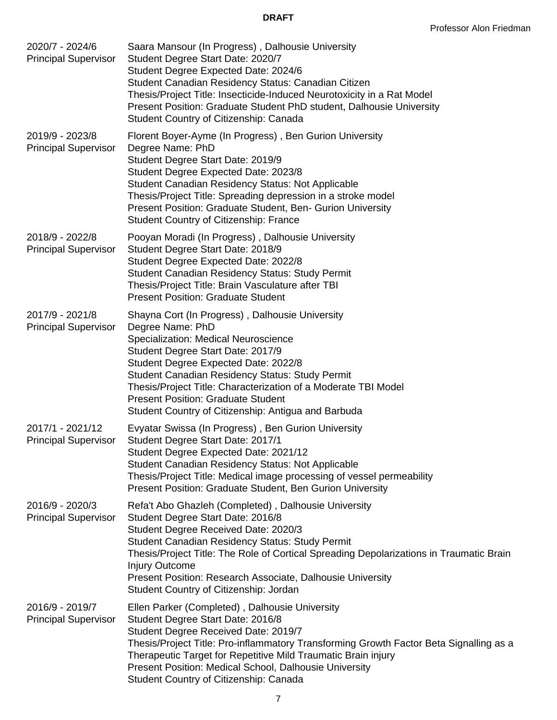| 2020/7 - 2024/6<br><b>Principal Supervisor</b>  | Saara Mansour (In Progress), Dalhousie University<br>Student Degree Start Date: 2020/7<br>Student Degree Expected Date: 2024/6<br>Student Canadian Residency Status: Canadian Citizen<br>Thesis/Project Title: Insecticide-Induced Neurotoxicity in a Rat Model<br>Present Position: Graduate Student PhD student, Dalhousie University<br>Student Country of Citizenship: Canada                                        |
|-------------------------------------------------|--------------------------------------------------------------------------------------------------------------------------------------------------------------------------------------------------------------------------------------------------------------------------------------------------------------------------------------------------------------------------------------------------------------------------|
| 2019/9 - 2023/8<br><b>Principal Supervisor</b>  | Florent Boyer-Ayme (In Progress), Ben Gurion University<br>Degree Name: PhD<br>Student Degree Start Date: 2019/9<br>Student Degree Expected Date: 2023/8<br>Student Canadian Residency Status: Not Applicable<br>Thesis/Project Title: Spreading depression in a stroke model<br>Present Position: Graduate Student, Ben- Gurion University<br><b>Student Country of Citizenship: France</b>                             |
| 2018/9 - 2022/8<br><b>Principal Supervisor</b>  | Pooyan Moradi (In Progress), Dalhousie University<br>Student Degree Start Date: 2018/9<br>Student Degree Expected Date: 2022/8<br><b>Student Canadian Residency Status: Study Permit</b><br>Thesis/Project Title: Brain Vasculature after TBI<br><b>Present Position: Graduate Student</b>                                                                                                                               |
| 2017/9 - 2021/8<br><b>Principal Supervisor</b>  | Shayna Cort (In Progress), Dalhousie University<br>Degree Name: PhD<br>Specialization: Medical Neuroscience<br>Student Degree Start Date: 2017/9<br>Student Degree Expected Date: 2022/8<br><b>Student Canadian Residency Status: Study Permit</b><br>Thesis/Project Title: Characterization of a Moderate TBI Model<br><b>Present Position: Graduate Student</b><br>Student Country of Citizenship: Antigua and Barbuda |
| 2017/1 - 2021/12<br><b>Principal Supervisor</b> | Evyatar Swissa (In Progress), Ben Gurion University<br>Student Degree Start Date: 2017/1<br>Student Degree Expected Date: 2021/12<br>Student Canadian Residency Status: Not Applicable<br>Thesis/Project Title: Medical image processing of vessel permeability<br>Present Position: Graduate Student, Ben Gurion University                                                                                             |
| 2016/9 - 2020/3<br><b>Principal Supervisor</b>  | Refa't Abo Ghazleh (Completed), Dalhousie University<br>Student Degree Start Date: 2016/8<br>Student Degree Received Date: 2020/3<br><b>Student Canadian Residency Status: Study Permit</b><br>Thesis/Project Title: The Role of Cortical Spreading Depolarizations in Traumatic Brain<br><b>Injury Outcome</b><br>Present Position: Research Associate, Dalhousie University<br>Student Country of Citizenship: Jordan  |
| 2016/9 - 2019/7<br><b>Principal Supervisor</b>  | Ellen Parker (Completed), Dalhousie University<br>Student Degree Start Date: 2016/8<br>Student Degree Received Date: 2019/7<br>Thesis/Project Title: Pro-inflammatory Transforming Growth Factor Beta Signalling as a<br>Therapeutic Target for Repetitive Mild Traumatic Brain injury<br>Present Position: Medical School, Dalhousie University<br>Student Country of Citizenship: Canada                               |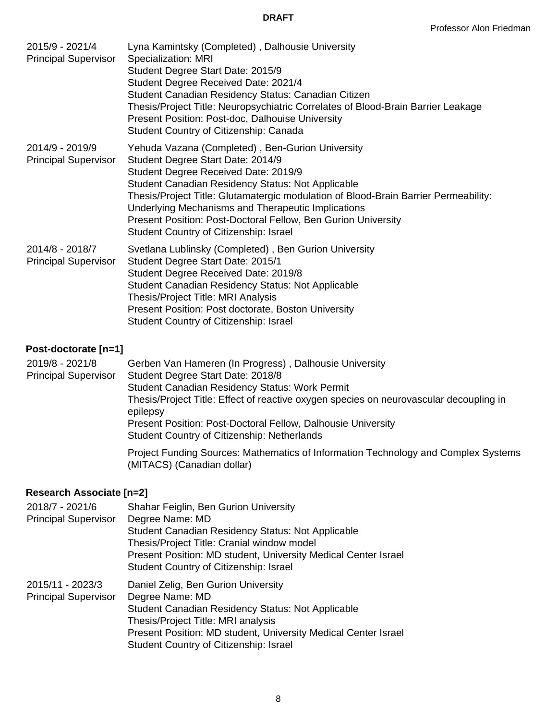| 2015/9 - 2021/4<br><b>Principal Supervisor</b> | Lyna Kamintsky (Completed), Dalhousie University<br>Specialization: MRI<br>Student Degree Start Date: 2015/9<br>Student Degree Received Date: 2021/4<br>Student Canadian Residency Status: Canadian Citizen<br>Thesis/Project Title: Neuropsychiatric Correlates of Blood-Brain Barrier Leakage<br>Present Position: Post-doc, Dalhouise University<br>Student Country of Citizenship: Canada                                                     |
|------------------------------------------------|---------------------------------------------------------------------------------------------------------------------------------------------------------------------------------------------------------------------------------------------------------------------------------------------------------------------------------------------------------------------------------------------------------------------------------------------------|
| 2014/9 - 2019/9<br><b>Principal Supervisor</b> | Yehuda Vazana (Completed), Ben-Gurion University<br>Student Degree Start Date: 2014/9<br>Student Degree Received Date: 2019/9<br><b>Student Canadian Residency Status: Not Applicable</b><br>Thesis/Project Title: Glutamatergic modulation of Blood-Brain Barrier Permeability:<br>Underlying Mechanisms and Therapeutic Implications<br>Present Position: Post-Doctoral Fellow, Ben Gurion University<br>Student Country of Citizenship: Israel |
| 2014/8 - 2018/7<br><b>Principal Supervisor</b> | Svetlana Lublinsky (Completed), Ben Gurion University<br>Student Degree Start Date: 2015/1<br>Student Degree Received Date: 2019/8<br>Student Canadian Residency Status: Not Applicable<br>Thesis/Project Title: MRI Analysis<br>Present Position: Post doctorate, Boston University<br>Student Country of Citizenship: Israel                                                                                                                    |

## **Post-doctorate [n=1]**

| 2019/8 - 2021/8             | Gerben Van Hameren (In Progress), Dalhousie University                                                           |
|-----------------------------|------------------------------------------------------------------------------------------------------------------|
| <b>Principal Supervisor</b> | Student Degree Start Date: 2018/8                                                                                |
|                             | <b>Student Canadian Residency Status: Work Permit</b>                                                            |
|                             | Thesis/Project Title: Effect of reactive oxygen species on neurovascular decoupling in<br>epilepsy               |
|                             | Present Position: Post-Doctoral Fellow, Dalhousie University                                                     |
|                             | <b>Student Country of Citizenship: Netherlands</b>                                                               |
|                             | Project Funding Sources: Mathematics of Information Technology and Complex Systems<br>(MITACS) (Canadian dollar) |

## **Research Associate [n=2]**

| 2018/7 - 2021/6<br><b>Principal Supervisor</b>  | Shahar Feiglin, Ben Gurion University<br>Degree Name: MD<br><b>Student Canadian Residency Status: Not Applicable</b><br>Thesis/Project Title: Cranial window model<br>Present Position: MD student, University Medical Center Israel<br>Student Country of Citizenship: Israel |
|-------------------------------------------------|--------------------------------------------------------------------------------------------------------------------------------------------------------------------------------------------------------------------------------------------------------------------------------|
| 2015/11 - 2023/3<br><b>Principal Supervisor</b> | Daniel Zelig, Ben Gurion University<br>Degree Name: MD<br><b>Student Canadian Residency Status: Not Applicable</b><br>Thesis/Project Title: MRI analysis<br>Present Position: MD student, University Medical Center Israel<br>Student Country of Citizenship: Israel           |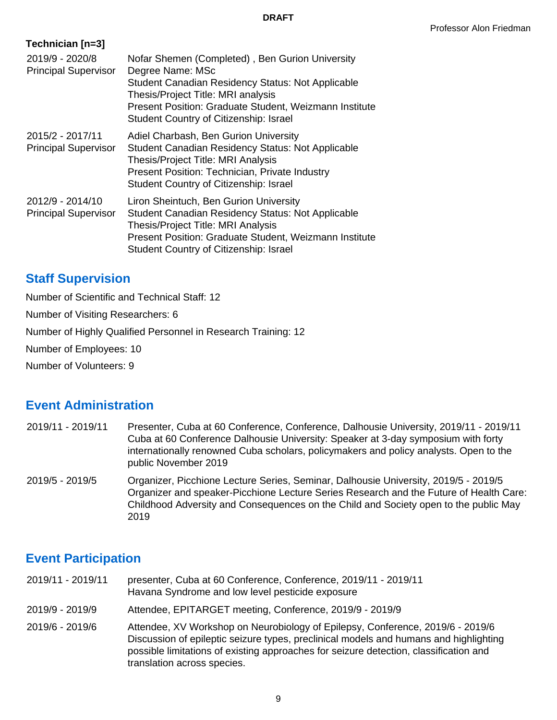| Technician [n=3]                                |                                                                                                                                                                                                                                                                           |
|-------------------------------------------------|---------------------------------------------------------------------------------------------------------------------------------------------------------------------------------------------------------------------------------------------------------------------------|
| 2019/9 - 2020/8<br><b>Principal Supervisor</b>  | Nofar Shemen (Completed), Ben Gurion University<br>Degree Name: MSc<br><b>Student Canadian Residency Status: Not Applicable</b><br>Thesis/Project Title: MRI analysis<br>Present Position: Graduate Student, Weizmann Institute<br>Student Country of Citizenship: Israel |
| 2015/2 - 2017/11<br><b>Principal Supervisor</b> | Adiel Charbash, Ben Gurion University<br><b>Student Canadian Residency Status: Not Applicable</b><br>Thesis/Project Title: MRI Analysis<br>Present Position: Technician, Private Industry<br><b>Student Country of Citizenship: Israel</b>                                |
| 2012/9 - 2014/10<br><b>Principal Supervisor</b> | Liron Sheintuch, Ben Gurion University<br>Student Canadian Residency Status: Not Applicable<br>Thesis/Project Title: MRI Analysis<br>Present Position: Graduate Student, Weizmann Institute<br>Student Country of Citizenship: Israel                                     |

## **Staff Supervision**

Number of Scientific and Technical Staff: 12

Number of Visiting Researchers: 6

Number of Highly Qualified Personnel in Research Training: 12

Number of Employees: 10

Number of Volunteers: 9

## **Event Administration**

- 2019/11 2019/11 Presenter, Cuba at 60 Conference, Conference, Dalhousie University, 2019/11 2019/11 Cuba at 60 Conference Dalhousie University: Speaker at 3-day symposium with forty internationally renowned Cuba scholars, policymakers and policy analysts. Open to the public November 2019
- 2019/5 2019/5 Organizer, Picchione Lecture Series, Seminar, Dalhousie University, 2019/5 2019/5 Organizer and speaker-Picchione Lecture Series Research and the Future of Health Care: Childhood Adversity and Consequences on the Child and Society open to the public May 2019

## **Event Participation**

- 2019/11 2019/11 presenter, Cuba at 60 Conference, Conference, 2019/11 2019/11 Havana Syndrome and low level pesticide exposure
- 2019/9 2019/9 Attendee, EPITARGET meeting, Conference, 2019/9 2019/9
- 2019/6 2019/6 Attendee, XV Workshop on Neurobiology of Epilepsy, Conference, 2019/6 2019/6 Discussion of epileptic seizure types, preclinical models and humans and highlighting possible limitations of existing approaches for seizure detection, classification and translation across species.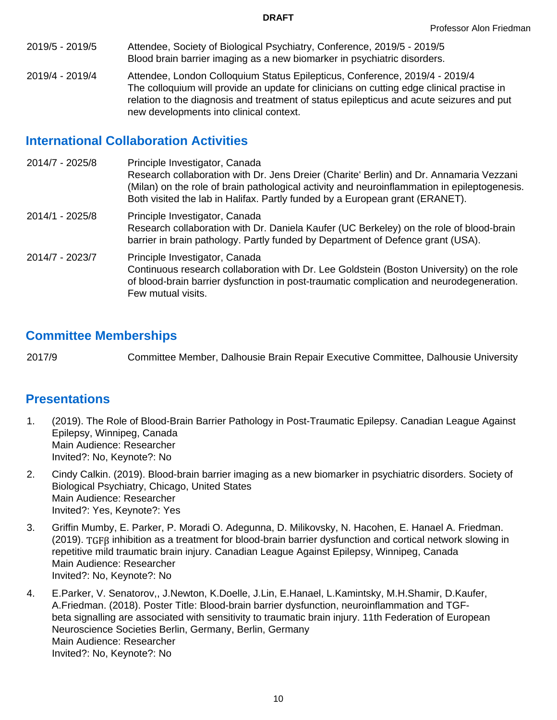- 2019/5 2019/5 Attendee, Society of Biological Psychiatry, Conference, 2019/5 2019/5 Blood brain barrier imaging as a new biomarker in psychiatric disorders.
- 2019/4 2019/4 Attendee, London Colloquium Status Epilepticus, Conference, 2019/4 2019/4 The colloquium will provide an update for clinicians on cutting edge clinical practise in relation to the diagnosis and treatment of status epilepticus and acute seizures and put new developments into clinical context.

# **International Collaboration Activities**

- 2014/7 2025/8 Principle Investigator, Canada Research collaboration with Dr. Jens Dreier (Charite' Berlin) and Dr. Annamaria Vezzani (Milan) on the role of brain pathological activity and neuroinflammation in epileptogenesis. Both visited the lab in Halifax. Partly funded by a European grant (ERANET). 2014/1 - 2025/8 Principle Investigator, Canada
- Research collaboration with Dr. Daniela Kaufer (UC Berkeley) on the role of blood-brain barrier in brain pathology. Partly funded by Department of Defence grant (USA).
- 2014/7 2023/7 Principle Investigator, Canada Continuous research collaboration with Dr. Lee Goldstein (Boston University) on the role of blood-brain barrier dysfunction in post-traumatic complication and neurodegeneration. Few mutual visits.

# **Committee Memberships**

2017/9 Committee Member, Dalhousie Brain Repair Executive Committee, Dalhousie University

## **Presentations**

- 1. (2019). The Role of Blood-Brain Barrier Pathology in Post-Traumatic Epilepsy. Canadian League Against Epilepsy, Winnipeg, Canada Main Audience: Researcher Invited?: No, Keynote?: No
- 2. Cindy Calkin. (2019). Blood-brain barrier imaging as a new biomarker in psychiatric disorders. Society of Biological Psychiatry, Chicago, United States Main Audience: Researcher Invited?: Yes, Keynote?: Yes
- 3. Griffin Mumby, E. Parker, P. Moradi O. Adegunna, D. Milikovsky, N. Hacohen, E. Hanael A. Friedman. (2019). TGFβ inhibition as a treatment for blood-brain barrier dysfunction and cortical network slowing in repetitive mild traumatic brain injury. Canadian League Against Epilepsy, Winnipeg, Canada Main Audience: Researcher Invited?: No, Keynote?: No
- 4. E.Parker, V. Senatorov,, J.Newton, K.Doelle, J.Lin, E.Hanael, L.Kamintsky, M.H.Shamir, D.Kaufer, A.Friedman. (2018). Poster Title: Blood-brain barrier dysfunction, neuroinflammation and TGFbeta signalling are associated with sensitivity to traumatic brain injury. 11th Federation of European Neuroscience Societies Berlin, Germany, Berlin, Germany Main Audience: Researcher Invited?: No, Keynote?: No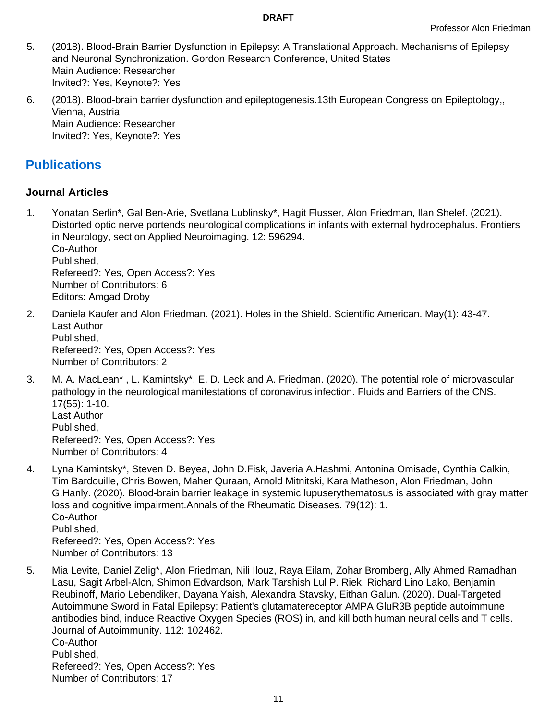- 5. (2018). Blood-Brain Barrier Dysfunction in Epilepsy: A Translational Approach. Mechanisms of Epilepsy and Neuronal Synchronization. Gordon Research Conference, United States Main Audience: Researcher Invited?: Yes, Keynote?: Yes
- 6. (2018). Blood-brain barrier dysfunction and epileptogenesis.13th European Congress on Epileptology,, Vienna, Austria Main Audience: Researcher Invited?: Yes, Keynote?: Yes

# **Publications**

## **Journal Articles**

- 1. Yonatan Serlin\*, Gal Ben-Arie, Svetlana Lublinsky\*, Hagit Flusser, Alon Friedman, Ilan Shelef. (2021). Distorted optic nerve portends neurological complications in infants with external hydrocephalus. Frontiers in Neurology, section Applied Neuroimaging. 12: 596294. Co-Author Published, Refereed?: Yes, Open Access?: Yes Number of Contributors: 6 Editors: Amgad Droby
- 2. Daniela Kaufer and Alon Friedman. (2021). Holes in the Shield. Scientific American. May(1): 43-47. Last Author Published, Refereed?: Yes, Open Access?: Yes Number of Contributors: 2
- 3. M. A. MacLean\* , L. Kamintsky\*, E. D. Leck and A. Friedman. (2020). The potential role of microvascular pathology in the neurological manifestations of coronavirus infection. Fluids and Barriers of the CNS. 17(55): 1-10. Last Author Published, Refereed?: Yes, Open Access?: Yes Number of Contributors: 4
- 4. Lyna Kamintsky\*, Steven D. Beyea, John D.Fisk, Javeria A.Hashmi, Antonina Omisade, Cynthia Calkin, Tim Bardouille, Chris Bowen, Maher Quraan, Arnold Mitnitski, Kara Matheson, Alon Friedman, John G.Hanly. (2020). Blood-brain barrier leakage in systemic lupuserythematosus is associated with gray matter loss and cognitive impairment.Annals of the Rheumatic Diseases. 79(12): 1. Co-Author Published, Refereed?: Yes, Open Access?: Yes Number of Contributors: 13
- 5. Mia Levite, Daniel Zelig\*, Alon Friedman, Nili Ilouz, Raya Eilam, Zohar Bromberg, Ally Ahmed Ramadhan Lasu, Sagit Arbel-Alon, Shimon Edvardson, Mark Tarshish Lul P. Riek, Richard Lino Lako, Benjamin Reubinoff, Mario Lebendiker, Dayana Yaish, Alexandra Stavsky, Eithan Galun. (2020). Dual-Targeted Autoimmune Sword in Fatal Epilepsy: Patient's glutamatereceptor AMPA GluR3B peptide autoimmune antibodies bind, induce Reactive Oxygen Species (ROS) in, and kill both human neural cells and T cells. Journal of Autoimmunity. 112: 102462. Co-Author Published, Refereed?: Yes, Open Access?: Yes Number of Contributors: 17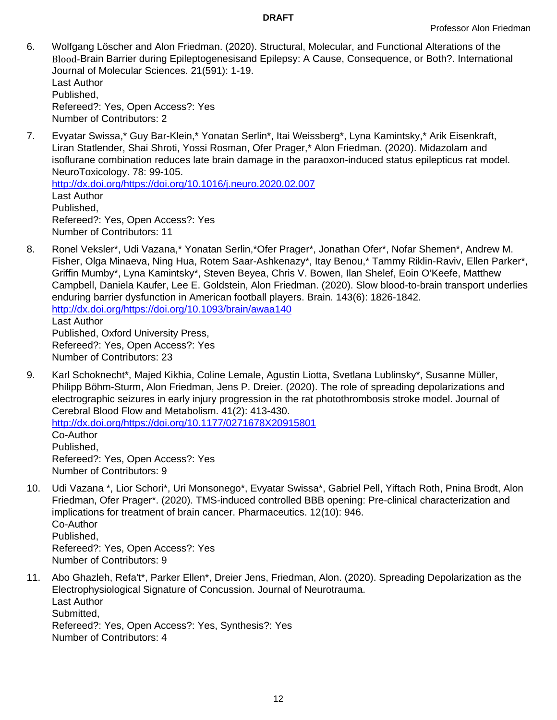- 6. Wolfgang Löscher and Alon Friedman. (2020). Structural, Molecular, and Functional Alterations of the Blood-Brain Barrier during Epileptogenesisand Epilepsy: A Cause, Consequence, or Both?. International Journal of Molecular Sciences. 21(591): 1-19. Last Author Published, Refereed?: Yes, Open Access?: Yes Number of Contributors: 2
- 7. Evyatar Swissa,\* Guy Bar-Klein,\* Yonatan Serlin\*, Itai Weissberg\*, Lyna Kamintsky,\* Arik Eisenkraft, Liran Statlender, Shai Shroti, Yossi Rosman, Ofer Prager,\* Alon Friedman. (2020). Midazolam and isoflurane combination reduces late brain damage in the paraoxon-induced status epilepticus rat model. NeuroToxicology. 78: 99-105.

<http://dx.doi.org/https://doi.org/10.1016/j.neuro.2020.02.007> Last Author Published, Refereed?: Yes, Open Access?: Yes Number of Contributors: 11

- 8. Ronel Veksler\*, Udi Vazana,\* Yonatan Serlin,\*Ofer Prager\*, Jonathan Ofer\*, Nofar Shemen\*, Andrew M. Fisher, Olga Minaeva, Ning Hua, Rotem Saar-Ashkenazy\*, Itay Benou,\* Tammy Riklin-Raviv, Ellen Parker\*, Griffin Mumby\*, Lyna Kamintsky\*, Steven Beyea, Chris V. Bowen, Ilan Shelef, Eoin O'Keefe, Matthew Campbell, Daniela Kaufer, Lee E. Goldstein, Alon Friedman. (2020). Slow blood-to-brain transport underlies enduring barrier dysfunction in American football players. Brain. 143(6): 1826-1842. <http://dx.doi.org/https://doi.org/10.1093/brain/awaa140> Last Author Published, Oxford University Press, Refereed?: Yes, Open Access?: Yes Number of Contributors: 23
- 9. Karl Schoknecht\*, Majed Kikhia, Coline Lemale, Agustin Liotta, Svetlana Lublinsky\*, Susanne Müller, Philipp Böhm-Sturm, Alon Friedman, Jens P. Dreier. (2020). The role of spreading depolarizations and electrographic seizures in early injury progression in the rat photothrombosis stroke model. Journal of Cerebral Blood Flow and Metabolism. 41(2): 413-430. <http://dx.doi.org/https://doi.org/10.1177/0271678X20915801> Co-Author Published, Refereed?: Yes, Open Access?: Yes Number of Contributors: 9
- 10. Udi Vazana \*, Lior Schori\*, Uri Monsonego\*, Evyatar Swissa\*, Gabriel Pell, Yiftach Roth, Pnina Brodt, Alon Friedman, Ofer Prager\*. (2020). TMS-induced controlled BBB opening: Pre-clinical characterization and implications for treatment of brain cancer. Pharmaceutics. 12(10): 946. Co-Author Published, Refereed?: Yes, Open Access?: Yes Number of Contributors: 9
- 11. Abo Ghazleh, Refa't\*, Parker Ellen\*, Dreier Jens, Friedman, Alon. (2020). Spreading Depolarization as the Electrophysiological Signature of Concussion. Journal of Neurotrauma. Last Author Submitted, Refereed?: Yes, Open Access?: Yes, Synthesis?: Yes Number of Contributors: 4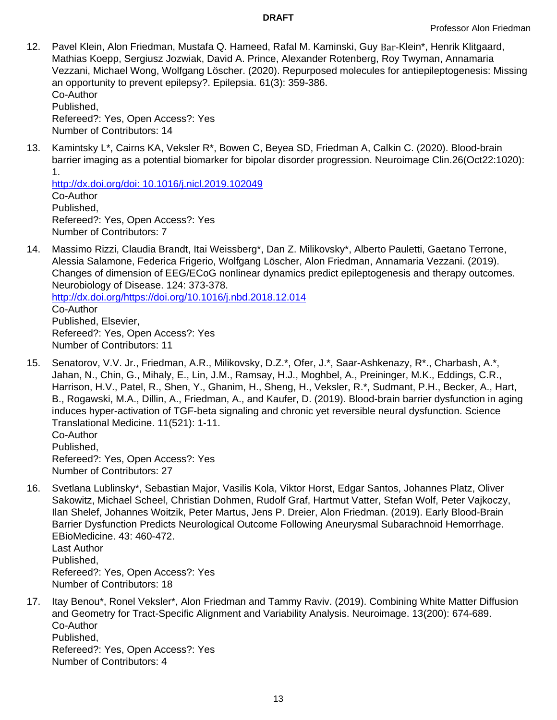12. Pavel Klein, Alon Friedman, Mustafa Q. Hameed, Rafal M. Kaminski, Guy Bar-Klein\*, Henrik Klitgaard, Mathias Koepp, Sergiusz Jozwiak, David A. Prince, Alexander Rotenberg, Roy Twyman, Annamaria Vezzani, Michael Wong, Wolfgang Löscher. (2020). Repurposed molecules for antiepileptogenesis: Missing an opportunity to prevent epilepsy?. Epilepsia. 61(3): 359-386. Co-Author Published,

Refereed?: Yes, Open Access?: Yes Number of Contributors: 14

13. Kamintsky L\*, Cairns KA, Veksler R\*, Bowen C, Beyea SD, Friedman A, Calkin C. (2020). Blood-brain barrier imaging as a potential biomarker for bipolar disorder progression. Neuroimage Clin.26(Oct22:1020): 1.

<http://dx.doi.org/doi: 10.1016/j.nicl.2019.102049> Co-Author Published, Refereed?: Yes, Open Access?: Yes Number of Contributors: 7

14. Massimo Rizzi, Claudia Brandt, Itai Weissberg\*, Dan Z. Milikovsky\*, Alberto Pauletti, Gaetano Terrone, Alessia Salamone, Federica Frigerio, Wolfgang Löscher, Alon Friedman, Annamaria Vezzani. (2019). Changes of dimension of EEG/ECoG nonlinear dynamics predict epileptogenesis and therapy outcomes. Neurobiology of Disease. 124: 373-378.

<http://dx.doi.org/https://doi.org/10.1016/j.nbd.2018.12.014> Co-Author Published, Elsevier, Refereed?: Yes, Open Access?: Yes Number of Contributors: 11

15. Senatorov, V.V. Jr., Friedman, A.R., Milikovsky, D.Z.\*, Ofer, J.\*, Saar-Ashkenazy, R\*., Charbash, A.\*, Jahan, N., Chin, G., Mihaly, E., Lin, J.M., Ramsay, H.J., Moghbel, A., Preininger, M.K., Eddings, C.R., Harrison, H.V., Patel, R., Shen, Y., Ghanim, H., Sheng, H., Veksler, R.\*, Sudmant, P.H., Becker, A., Hart, B., Rogawski, M.A., Dillin, A., Friedman, A., and Kaufer, D. (2019). Blood-brain barrier dysfunction in aging induces hyper-activation of TGF-beta signaling and chronic yet reversible neural dysfunction. Science Translational Medicine. 11(521): 1-11.

Co-Author Published, Refereed?: Yes, Open Access?: Yes Number of Contributors: 27

- 16. Svetlana Lublinsky\*, Sebastian Major, Vasilis Kola, Viktor Horst, Edgar Santos, Johannes Platz, Oliver Sakowitz, Michael Scheel, Christian Dohmen, Rudolf Graf, Hartmut Vatter, Stefan Wolf, Peter Vajkoczy, Ilan Shelef, Johannes Woitzik, Peter Martus, Jens P. Dreier, Alon Friedman. (2019). Early Blood-Brain Barrier Dysfunction Predicts Neurological Outcome Following Aneurysmal Subarachnoid Hemorrhage. EBioMedicine. 43: 460-472. Last Author Published, Refereed?: Yes, Open Access?: Yes Number of Contributors: 18
- 17. Itay Benou\*, Ronel Veksler\*, Alon Friedman and Tammy Raviv. (2019). Combining White Matter Diffusion and Geometry for Tract-Specific Alignment and Variability Analysis. Neuroimage. 13(200): 674-689. Co-Author Published, Refereed?: Yes, Open Access?: Yes Number of Contributors: 4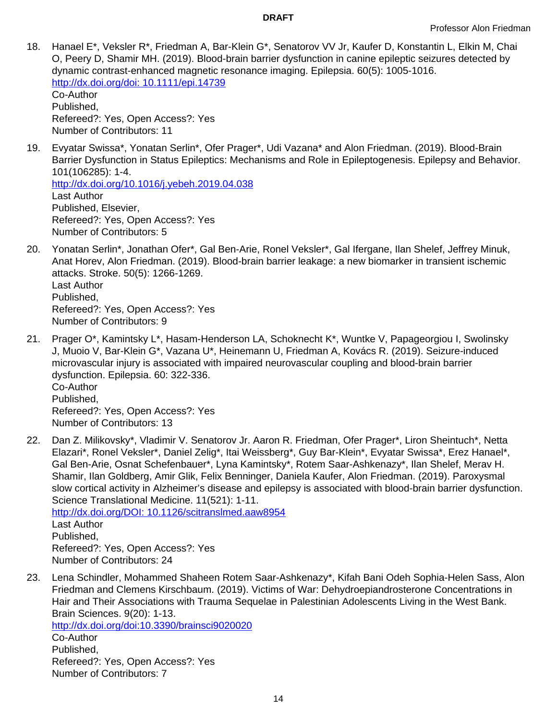18. Hanael E\*, Veksler R\*, Friedman A, Bar-Klein G\*, Senatorov VV Jr, Kaufer D, Konstantin L, Elkin M, Chai O, Peery D, Shamir MH. (2019). Blood-brain barrier dysfunction in canine epileptic seizures detected by dynamic contrast-enhanced magnetic resonance imaging. Epilepsia. 60(5): 1005-1016. <http://dx.doi.org/doi: 10.1111/epi.14739> Co-Author

Published, Refereed?: Yes, Open Access?: Yes Number of Contributors: 11

19. Evyatar Swissa\*, Yonatan Serlin\*, Ofer Prager\*, Udi Vazana\* and Alon Friedman. (2019). Blood-Brain Barrier Dysfunction in Status Epileptics: Mechanisms and Role in Epileptogenesis. Epilepsy and Behavior. 101(106285): 1-4.

<http://dx.doi.org/10.1016/j.yebeh.2019.04.038> Last Author Published, Elsevier, Refereed?: Yes, Open Access?: Yes Number of Contributors: 5

- 20. Yonatan Serlin\*, Jonathan Ofer\*, Gal Ben-Arie, Ronel Veksler\*, Gal Ifergane, Ilan Shelef, Jeffrey Minuk, Anat Horev, Alon Friedman. (2019). Blood-brain barrier leakage: a new biomarker in transient ischemic attacks. Stroke. 50(5): 1266-1269. Last Author Published, Refereed?: Yes, Open Access?: Yes Number of Contributors: 9
- 21. Prager O\*, Kamintsky L\*, Hasam-Henderson LA, Schoknecht K\*, Wuntke V, Papageorgiou I, Swolinsky J, Muoio V, Bar-Klein G\*, Vazana U\*, Heinemann U, Friedman A, Kovács R. (2019). Seizure-induced microvascular injury is associated with impaired neurovascular coupling and blood-brain barrier dysfunction. Epilepsia. 60: 322-336. Co-Author Published, Refereed?: Yes, Open Access?: Yes Number of Contributors: 13
- 22. Dan Z. Milikovsky\*, Vladimir V. Senatorov Jr. Aaron R. Friedman, Ofer Prager\*, Liron Sheintuch\*, Netta Elazari\*, Ronel Veksler\*, Daniel Zelig\*, Itai Weissberg\*, Guy Bar-Klein\*, Evyatar Swissa\*, Erez Hanael\*, Gal Ben-Arie, Osnat Schefenbauer\*, Lyna Kamintsky\*, Rotem Saar-Ashkenazy\*, Ilan Shelef, Merav H. Shamir, Ilan Goldberg, Amir Glik, Felix Benninger, Daniela Kaufer, Alon Friedman. (2019). Paroxysmal slow cortical activity in Alzheimer's disease and epilepsy is associated with blood-brain barrier dysfunction. Science Translational Medicine. 11(521): 1-11.

<http://dx.doi.org/DOI: 10.1126/scitranslmed.aaw8954> Last Author Published, Refereed?: Yes, Open Access?: Yes Number of Contributors: 24

23. Lena Schindler, Mohammed Shaheen Rotem Saar-Ashkenazy\*, Kifah Bani Odeh Sophia-Helen Sass, Alon Friedman and Clemens Kirschbaum. (2019). Victims of War: Dehydroepiandrosterone Concentrations in Hair and Their Associations with Trauma Sequelae in Palestinian Adolescents Living in the West Bank. Brain Sciences. 9(20): 1-13.

<http://dx.doi.org/doi:10.3390/brainsci9020020> Co-Author Published, Refereed?: Yes, Open Access?: Yes Number of Contributors: 7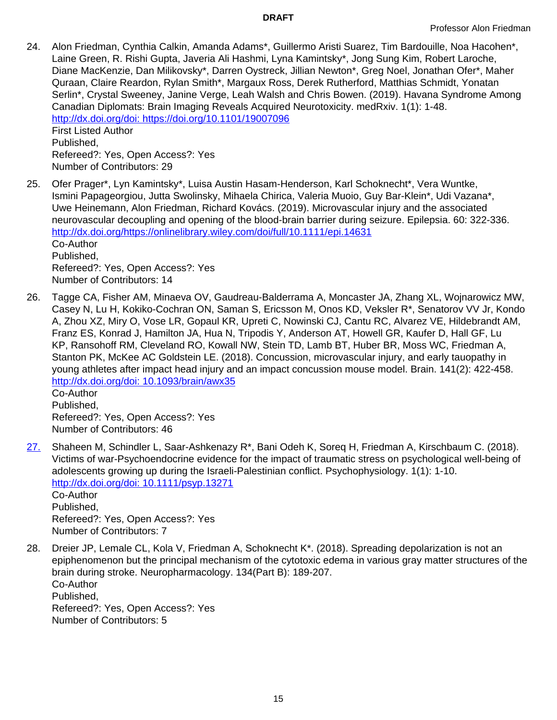24. Alon Friedman, Cynthia Calkin, Amanda Adams\*, Guillermo Aristi Suarez, Tim Bardouille, Noa Hacohen\*, Laine Green, R. Rishi Gupta, Javeria Ali Hashmi, Lyna Kamintsky\*, Jong Sung Kim, Robert Laroche, Diane MacKenzie, Dan Milikovsky\*, Darren Oystreck, Jillian Newton\*, Greg Noel, Jonathan Ofer\*, Maher Quraan, Claire Reardon, Rylan Smith\*, Margaux Ross, Derek Rutherford, Matthias Schmidt, Yonatan Serlin\*, Crystal Sweeney, Janine Verge, Leah Walsh and Chris Bowen. (2019). Havana Syndrome Among Canadian Diplomats: Brain Imaging Reveals Acquired Neurotoxicity. medRxiv. 1(1): 1-48. <http://dx.doi.org/doi: https://doi.org/10.1101/19007096> First Listed Author Published,

Refereed?: Yes, Open Access?: Yes Number of Contributors: 29

- 25. Ofer Prager\*, Lyn Kamintsky\*, Luisa Austin Hasam-Henderson, Karl Schoknecht\*, Vera Wuntke, Ismini Papageorgiou, Jutta Swolinsky, Mihaela Chirica, Valeria Muoio, Guy Bar-Klein\*, Udi Vazana\*, Uwe Heinemann, Alon Friedman, Richard Kovács. (2019). Microvascular injury and the associated neurovascular decoupling and opening of the blood-brain barrier during seizure. Epilepsia. 60: 322-336. <http://dx.doi.org/https://onlinelibrary.wiley.com/doi/full/10.1111/epi.14631> Co-Author Published, Refereed?: Yes, Open Access?: Yes Number of Contributors: 14
- 26. Tagge CA, Fisher AM, Minaeva OV, Gaudreau-Balderrama A, Moncaster JA, Zhang XL, Wojnarowicz MW, Casey N, Lu H, Kokiko-Cochran ON, Saman S, Ericsson M, Onos KD, Veksler R\*, Senatorov VV Jr, Kondo A, Zhou XZ, Miry O, Vose LR, Gopaul KR, Upreti C, Nowinski CJ, Cantu RC, Alvarez VE, Hildebrandt AM, Franz ES, Konrad J, Hamilton JA, Hua N, Tripodis Y, Anderson AT, Howell GR, Kaufer D, Hall GF, Lu KP, Ransohoff RM, Cleveland RO, Kowall NW, Stein TD, Lamb BT, Huber BR, Moss WC, Friedman A, Stanton PK, McKee AC Goldstein LE. (2018). Concussion, microvascular injury, and early tauopathy in young athletes after impact head injury and an impact concussion mouse model. Brain. 141(2): 422-458. <http://dx.doi.org/doi: 10.1093/brain/awx35> Co-Author

Published, Refereed?: Yes, Open Access?: Yes Number of Contributors: 46

[27.](PMID: 30101980 Aug 13:e13271. Epub) Shaheen M, Schindler L, Saar-Ashkenazy R\*, Bani Odeh K, Soreq H, Friedman A, Kirschbaum C. (2018). Victims of war-Psychoendocrine evidence for the impact of traumatic stress on psychological well-being of adolescents growing up during the Israeli-Palestinian conflict. Psychophysiology. 1(1): 1-10. <http://dx.doi.org/doi: 10.1111/psyp.13271> Co-Author Published,

Refereed?: Yes, Open Access?: Yes Number of Contributors: 7

28. Dreier JP, Lemale CL, Kola V, Friedman A, Schoknecht K\*. (2018). Spreading depolarization is not an epiphenomenon but the principal mechanism of the cytotoxic edema in various gray matter structures of the brain during stroke. Neuropharmacology. 134(Part B): 189-207. Co-Author Published, Refereed?: Yes, Open Access?: Yes Number of Contributors: 5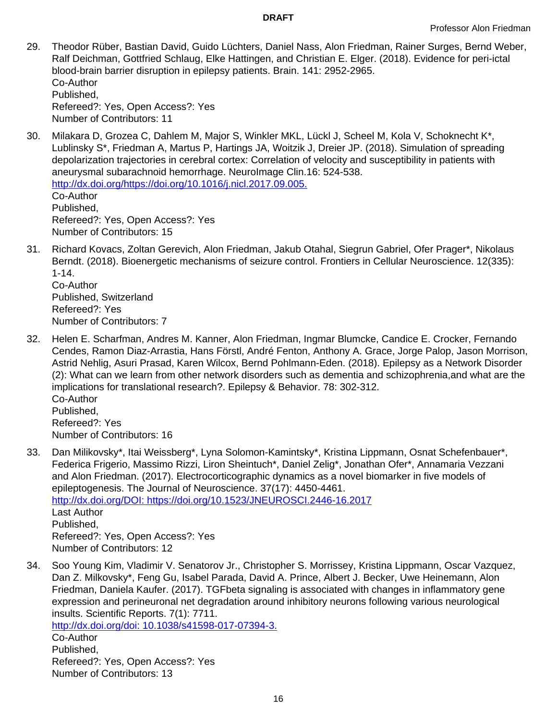- 29. Theodor Rüber, Bastian David, Guido Lüchters, Daniel Nass, Alon Friedman, Rainer Surges, Bernd Weber, Ralf Deichman, Gottfried Schlaug, Elke Hattingen, and Christian E. Elger. (2018). Evidence for peri-ictal blood-brain barrier disruption in epilepsy patients. Brain. 141: 2952-2965. Co-Author Published, Refereed?: Yes, Open Access?: Yes Number of Contributors: 11
- 30. Milakara D, Grozea C, Dahlem M, Major S, Winkler MKL, Lückl J, Scheel M, Kola V, Schoknecht K\*, Lublinsky S\*, Friedman A, Martus P, Hartings JA, Woitzik J, Dreier JP. (2018). Simulation of spreading depolarization trajectories in cerebral cortex: Correlation of velocity and susceptibility in patients with aneurysmal subarachnoid hemorrhage. NeuroImage Clin.16: 524-538. <http://dx.doi.org/https://doi.org/10.1016/j.nicl.2017.09.005.> Co-Author Published, Refereed?: Yes, Open Access?: Yes Number of Contributors: 15
- 31. Richard Kovacs, Zoltan Gerevich, Alon Friedman, Jakub Otahal, Siegrun Gabriel, Ofer Prager\*, Nikolaus Berndt. (2018). Bioenergetic mechanisms of seizure control. Frontiers in Cellular Neuroscience. 12(335): 1-14.

Co-Author Published, Switzerland Refereed?: Yes Number of Contributors: 7

32. Helen E. Scharfman, Andres M. Kanner, Alon Friedman, Ingmar Blumcke, Candice E. Crocker, Fernando Cendes, Ramon Diaz-Arrastia, Hans Förstl, André Fenton, Anthony A. Grace, Jorge Palop, Jason Morrison, Astrid Nehlig, Asuri Prasad, Karen Wilcox, Bernd Pohlmann-Eden. (2018). Epilepsy as a Network Disorder (2): What can we learn from other network disorders such as dementia and schizophrenia,and what are the implications for translational research?. Epilepsy & Behavior. 78: 302-312. Co-Author Published, Refereed?: Yes

Number of Contributors: 16

- 33. Dan Milikovsky\*, Itai Weissberg\*, Lyna Solomon-Kamintsky\*, Kristina Lippmann, Osnat Schefenbauer\*, Federica Frigerio, Massimo Rizzi, Liron Sheintuch\*, Daniel Zelig\*, Jonathan Ofer\*, Annamaria Vezzani and Alon Friedman. (2017). Electrocorticographic dynamics as a novel biomarker in five models of epileptogenesis. The Journal of Neuroscience. 37(17): 4450-4461. <http://dx.doi.org/DOI: https://doi.org/10.1523/JNEUROSCI.2446-16.2017> Last Author Published, Refereed?: Yes, Open Access?: Yes Number of Contributors: 12
- 34. Soo Young Kim, Vladimir V. Senatorov Jr., Christopher S. Morrissey, Kristina Lippmann, Oscar Vazquez, Dan Z. Milkovsky\*, Feng Gu, Isabel Parada, David A. Prince, Albert J. Becker, Uwe Heinemann, Alon Friedman, Daniela Kaufer. (2017). TGFbeta signaling is associated with changes in inflammatory gene expression and perineuronal net degradation around inhibitory neurons following various neurological insults. Scientific Reports. 7(1): 7711.

<http://dx.doi.org/doi: 10.1038/s41598-017-07394-3.> Co-Author

Published, Refereed?: Yes, Open Access?: Yes Number of Contributors: 13